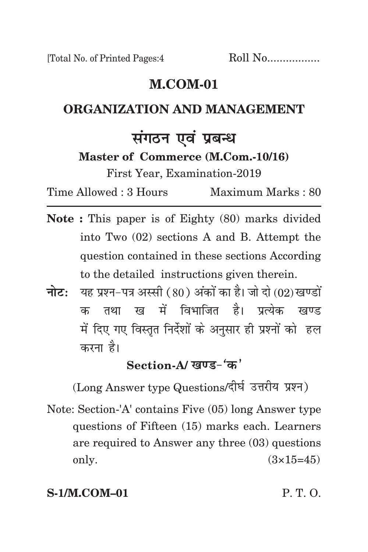### **m.com-01**

### **organization and management**

## **संगठन एवं प्रबन्ध**

**Master of Commerce (M.Com.-10/16)**

First Year, Examination-2019

Time Allowed : 3 Hours Maximum Marks : 80

- **Note :** This paper is of Eighty (80) marks divided into Two (02) sections A and B. Attempt the question contained in these sections According to the detailed instructions given therein.
- **नोट:** यह प्रश्न-पत्र अस्सी (80) अंकों का है। जो दो (02) खण्डों क तथा ख में विभाजित है। पत्येक खण्ड में दिए गए विस्तृत निर्देशों के अनुसार ही प्रश्नों को हल करना है।

### Section-A/ खण्ड-'क'

(Long Answer type Questions/दीर्घ उत्तरीय प्रश्न)

Note: Section-'A' contains Five (05) long Answer type questions of Fifteen (15) marks each. Learners are required to Answer any three (03) questions only.  $(3 \times 15 = 45)$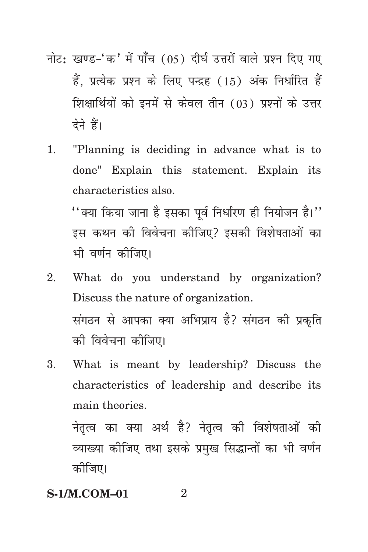- नोट: खण्ड-'क' में पाँच (05) दीर्घ उत्तरों वाले प्रश्न दिए गए हैं. प्रत्येक प्रश्न के लिए पन्द्रह (15) अंक निर्धारित हैं शिक्षार्थियों को इनमें से केवल तीन (03) प्रश्नों के उत्तर देने हैं।
- 1. "Planning is deciding in advance what is to done" Explain this statement. Explain its characteristics also.

 $^{\prime\prime}$ क्या किया जाना है इसका पूर्व निर्धारण ही नियोजन है।'' इस कथन की विवेचना कीजिए? इसकी विशेषताओं का भी वर्णन कोजिए।

- 2. What do you understand by organization? Discuss the nature of organization. संगठन से आपका क्या अभिप्राय है? संगठन की प्रकृति को विवेचना कीजिए।
- 3. What is meant by leadership? Discuss the characteristics of leadership and describe its main theories.

नेतृत्व का क्या अर्थ है? नेतृत्व की विशेषताओं की व्याख्या कीजिए तथा इसके प्रमुख सिद्धान्तों का भी वर्णन कोजिए।

#### **S-1/M.COM-01** 2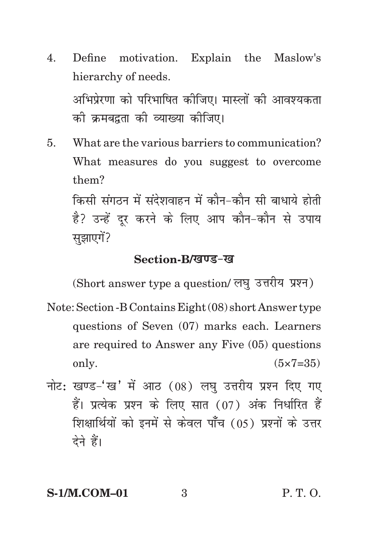- 4. Define motivation. Explain the Maslow's hierarchy of needs. अभिप्रेरणा को परिभाषित कीजिए। मास्लों की आवश्यकता को क्रमबद्रता को व्याख्या कोजिए।
- 5. What are the various barriers to communication? What measures do you suggest to overcome them? किसी संगठन में संदेशवाहन में कौन-कौन सी बाधाये होती है? उन्हें दूर करने के लिए आप कौन-कौन से उपाय

सुझाएगें?

#### Section-B/*खण्ड-ख*

(Short answer type a question/ लघु उत्तरीय प्रश्न)

- Note: Section -B Contains Eight (08) short Answer type questions of Seven (07) marks each. Learners are required to Answer any Five (05) questions only.  $(5 \times 7 = 35)$
- नोट: खण्ड-'ख' में आठ (08) लघ उत्तरीय प्रश्न दिए गए हैं। प्रत्येक प्रश्न के लिए सात (07) अंक निर्धारित हैं शिक्षार्थियों को इनमें से केवल पाँच (05) प्रश्नों के उत्तर देने हैं।

# **S-1/M.COM–01** 3 P. T. O.